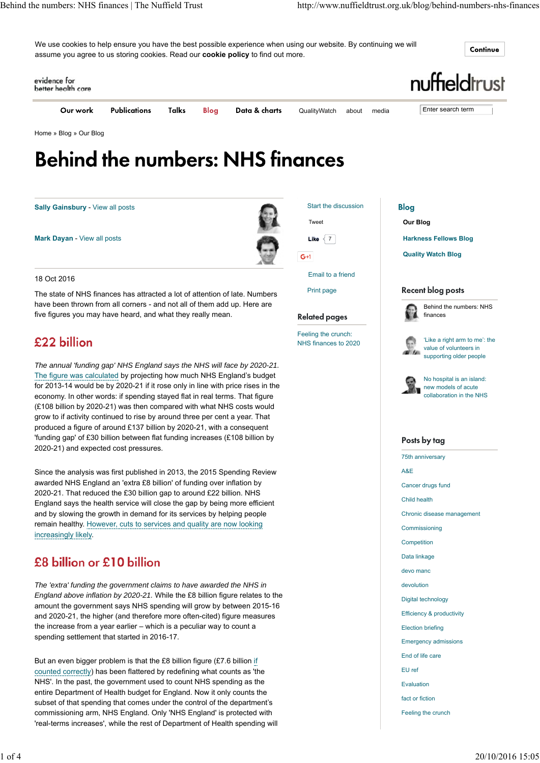We use cookies to help ensure you have the best possible experience when using our website. By continuing we will assume you agree to us storing cookies. Read our **cookie policy** to find out more.

Continue



Home » Blog » Our Blog

# **Behind the numbers: NHS finances**

**Sally Gainsbury** - View all posts

**Mark Dayan** - View all posts

Tweet  $L$ **ike**  $\leq 7$  $G+1$ 

Start the discussion



Print page

#### **Related pages**

Feeling the crunch: NHS finances to 2020 **Blog Our Blog**

**Harkness Fellows Blog**

**Quality Watch Blog**

#### **Recent blog posts**



'Like a right arm to me': the value of volunteers in all to supporting older people



No hospital is an island: new models of acute collaboration in the NHS

#### Posts by tag

75th anniversary A&E Cancer drugs fund Child health Chronic disease management Commissioning Competition Data linkage devo manc devolution Digital technology Efficiency & productivity Election briefing Emergency admissions End of life care EU ref Evaluation fact or fiction

Feeling the crunch

#### £22 billion

18 Oct 2016

*The annual 'funding gap' NHS England says the NHS will face by 2020-21.* The figure was calculated by projecting how much NHS England's budget for 2013-14 would be by 2020-21 if it rose only in line with price rises in the economy. In other words: if spending stayed flat in real terms. That figure (£108 billion by 2020-21) was then compared with what NHS costs would grow to if activity continued to rise by around three per cent a year. That produced a figure of around £137 billion by 2020-21, with a consequent 'funding gap' of £30 billion between flat funding increases (£108 billion by 2020-21) and expected cost pressures.

The state of NHS finances has attracted a lot of attention of late. Numbers have been thrown from all corners - and not all of them add up. Here are

five figures you may have heard, and what they really mean.

Since the analysis was first published in 2013, the 2015 Spending Review awarded NHS England an 'extra £8 billion' of funding over inflation by 2020-21. That reduced the £30 billion gap to around £22 billion. NHS England says the health service will close the gap by being more efficient and by slowing the growth in demand for its services by helping people remain healthy. However, cuts to services and quality are now looking increasingly likely.

# £8 billion or £10 billion

*The 'extra' funding the government claims to have awarded the NHS in England above inflation by 2020-21.* While the £8 billion figure relates to the amount the government says NHS spending will grow by between 2015-16 and 2020-21, the higher (and therefore more often-cited) figure measures the increase from a year earlier – which is a peculiar way to count a spending settlement that started in 2016-17.

But an even bigger problem is that the £8 billion figure (£7.6 billion if counted correctly) has been flattered by redefining what counts as 'the NHS'. In the past, the government used to count NHS spending as the entire Department of Health budget for England. Now it only counts the subset of that spending that comes under the control of the department's commissioning arm, NHS England. Only 'NHS England' is protected with 'real-terms increases', while the rest of Department of Health spending will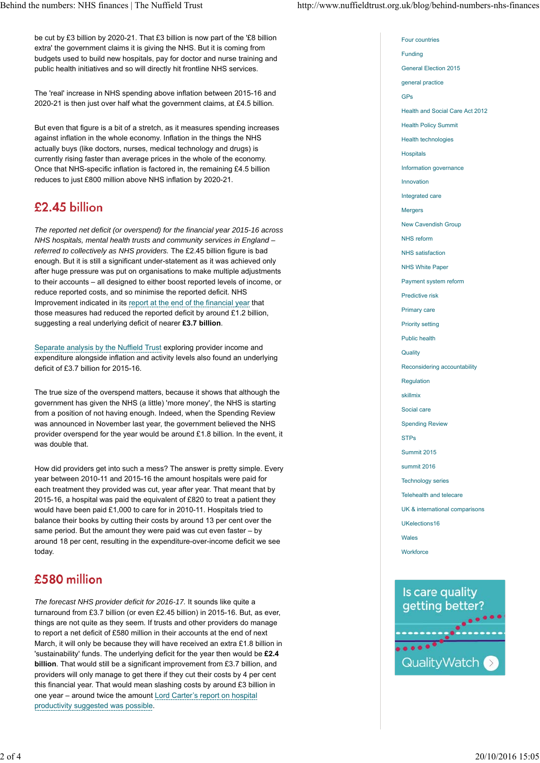Four countries Funding

be cut by £3 billion by 2020-21. That £3 billion is now part of the '£8 billion extra' the government claims it is giving the NHS. But it is coming from budgets used to build new hospitals, pay for doctor and nurse training and public health initiatives and so will directly hit frontline NHS services.

The 'real' increase in NHS spending above inflation between 2015-16 and 2020-21 is then just over half what the government claims, at £4.5 billion.

But even that figure is a bit of a stretch, as it measures spending increases against inflation in the whole economy. Inflation in the things the NHS actually buys (like doctors, nurses, medical technology and drugs) is currently rising faster than average prices in the whole of the economy. Once that NHS-specific inflation is factored in, the remaining £4.5 billion reduces to just £800 million above NHS inflation by 2020-21.

### £2.45 billion

*The reported net deficit (or overspend) for the financial year 2015-16 across NHS hospitals, mental health trusts and community services in England – referred to collectively as NHS providers.* The £2.45 billion figure is bad enough. But it is still a significant under-statement as it was achieved only after huge pressure was put on organisations to make multiple adjustments to their accounts – all designed to either boost reported levels of income, or reduce reported costs, and so minimise the reported deficit. NHS Improvement indicated in its report at the end of the financial year that those measures had reduced the reported deficit by around £1.2 billion, suggesting a real underlying deficit of nearer **£3.7 billion**.

Separate analysis by the Nuffield Trust exploring provider income and expenditure alongside inflation and activity levels also found an underlying deficit of £3.7 billion for 2015-16.

The true size of the overspend matters, because it shows that although the government has given the NHS (a little) 'more money', the NHS is starting from a position of not having enough. Indeed, when the Spending Review was announced in November last year, the government believed the NHS provider overspend for the year would be around £1.8 billion. In the event, it was double that.

How did providers get into such a mess? The answer is pretty simple. Every year between 2010-11 and 2015-16 the amount hospitals were paid for each treatment they provided was cut, year after year. That meant that by 2015-16, a hospital was paid the equivalent of £820 to treat a patient they would have been paid £1,000 to care for in 2010-11. Hospitals tried to balance their books by cutting their costs by around 13 per cent over the same period. But the amount they were paid was cut even faster – by around 18 per cent, resulting in the expenditure-over-income deficit we see today.

# £580 million

*The forecast NHS provider deficit for 2016-17.* It sounds like quite a turnaround from £3.7 billion (or even £2.45 billion) in 2015-16. But, as ever, things are not quite as they seem. If trusts and other providers do manage to report a net deficit of £580 million in their accounts at the end of next March, it will only be because they will have received an extra £1.8 billion in 'sustainability' funds. The underlying deficit for the year then would be **£2.4 billion**. That would still be a significant improvement from £3.7 billion, and providers will only manage to get there if they cut their costs by 4 per cent this financial year. That would mean slashing costs by around £3 billion in one year – around twice the amount Lord Carter's report on hospital productivity suggested was possible.

General Election 2015 general practice GPs Health and Social Care Act 2012 Health Policy Summit Health technologies **Hospitals** Information governance Innovation Integrated care Mergers New Cavendish Group NHS reform NHS satisfaction NHS White Paper Payment system reform Predictive risk Primary care Priority setting Public health **Quality** Reconsidering accountability Regulation skillmix Social care Spending Review STPs Summit 2015 summit 2016 Technology series Telehealth and telecare UK & international comparisons UKelections16 Wales **Workforce**